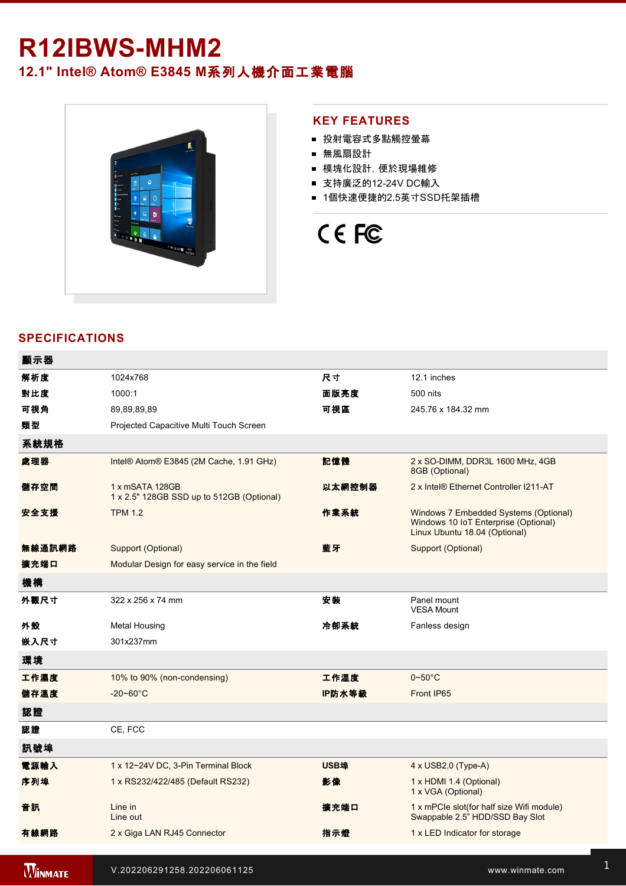## R12IBWS-MHM2

### **12.1" Intel® Atom® E3845 M**系列人機介面工業電腦



#### **KEY FEATURES**

- 投射電容式多點觸控螢幕
- 無風扇設計
- 模塊化設計, 便於現場維修
- 支持廣泛的12-24V DC輸入
- 1個快速便捷的2.5英寸SSD托架插槽

# CE FC

#### **SPECIFICATIONS**

| 顯示器    |                                                              |             |                                                                                                                |
|--------|--------------------------------------------------------------|-------------|----------------------------------------------------------------------------------------------------------------|
| 解析度    | 1024x768                                                     | 尺寸          | 12.1 inches                                                                                                    |
| 對比度    | 1000:1                                                       | 面版亮度        | 500 nits                                                                                                       |
| 可視角    | 89,89,89,89                                                  | 可視區         | 245.76 x 184.32 mm                                                                                             |
| 類型     | Projected Capacitive Multi Touch Screen                      |             |                                                                                                                |
| 系統規格   |                                                              |             |                                                                                                                |
| 處理器    | Intel® Atom® E3845 (2M Cache, 1.91 GHz)                      | 記憶體         | 2 x SO-DIMM, DDR3L 1600 MHz, 4GB<br>8GB (Optional)                                                             |
| 儲存空間   | 1 x mSATA 128GB<br>1 x 2.5" 128GB SSD up to 512GB (Optional) | 以太網控制器      | 2 x Intel® Ethernet Controller I211-AT                                                                         |
| 安全支援   | <b>TPM 1.2</b>                                               | 作業系統        | Windows 7 Embedded Systems (Optional)<br>Windows 10 IoT Enterprise (Optional)<br>Linux Ubuntu 18.04 (Optional) |
| 無線通訊網路 | Support (Optional)                                           | 藍牙          | Support (Optional)                                                                                             |
| 擴充端口   | Modular Design for easy service in the field                 |             |                                                                                                                |
| 機構     |                                                              |             |                                                                                                                |
| 外觀尺寸   | $322 \times 256 \times 74$ mm                                | 安装          | Panel mount<br><b>VESA Mount</b>                                                                               |
| 外殼     | <b>Metal Housing</b>                                         | 冷卻系統        | Fanless design                                                                                                 |
| 嵌入尺寸   | 301x237mm                                                    |             |                                                                                                                |
| 環境     |                                                              |             |                                                                                                                |
| 工作濕度   | 10% to 90% (non-condensing)                                  | 工作溫度        | $0\nightharpoonup 50^\circ C$                                                                                  |
| 儲存溫度   | $-20 - 60^{\circ}C$                                          | IP防水等級      | Front IP65                                                                                                     |
| 認證     |                                                              |             |                                                                                                                |
| 認證     | CE, FCC                                                      |             |                                                                                                                |
| 訊號埠    |                                                              |             |                                                                                                                |
| 電源輸入   | 1 x 12~24V DC, 3-Pin Terminal Block                          | <b>USB埠</b> | $4 \times$ USB2.0 (Type-A)                                                                                     |
| 序列埠    | 1 x RS232/422/485 (Default RS232)                            | 影像          | 1 x HDMI 1.4 (Optional)<br>1 x VGA (Optional)                                                                  |
| 音訊     | Line in<br>Line out                                          | 擴充端口        | 1 x mPCle slot(for half size Wifi module)<br>Swappable 2.5" HDD/SSD Bay Slot                                   |
| 有線網路   | 2 x Giga LAN RJ45 Connector                                  | 指示燈         | 1 x LED Indicator for storage                                                                                  |
|        |                                                              |             |                                                                                                                |

**WINMATE** 

V.202206291258.202206061125 www.winmate.com 1

**在** 1 x Power Button with LED Indicator with LED Indicator with LED Indicator with LED Indicator with LED Indicator</u>